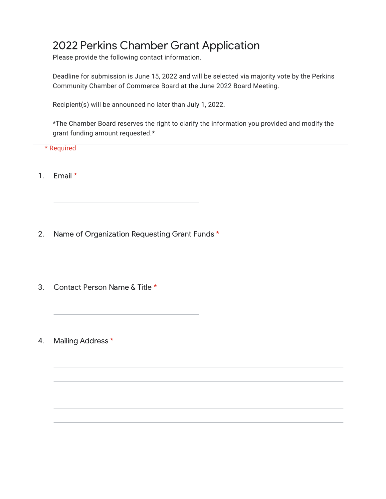## 2022 Perkins Chamber Grant Application

Please provide the following contact information.

Deadline for submission is June 15, 2022 and will be selected via majority vote by the Perkins Community Chamber of Commerce Board at the June 2022 Board Meeting.

Recipient(s) will be announced no later than July 1, 2022.

\*The Chamber Board reserves the right to clarify the information you provided and modify the grant funding amount requested.\*

\* Required

- 1. Email \*
- 2. Name of Organization Requesting Grant Funds \*
- 3. Contact Person Name & Title \*
- 4. Mailing Address \*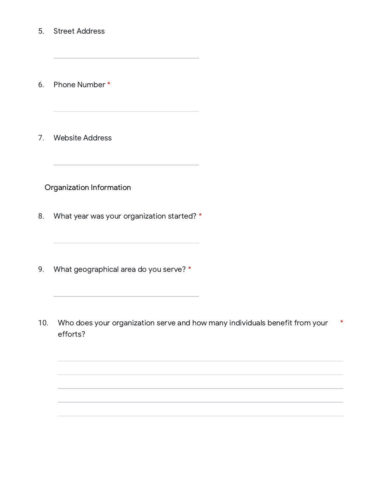- 5. Street Address
- 6. Phone Number \*
- 7. Website Address

Organization Information

- 8. What year was your organization started? \*
- 9. What geographical area do you serve? \*
- 10. Who does your organization serve and how many individuals benefit from your efforts? \*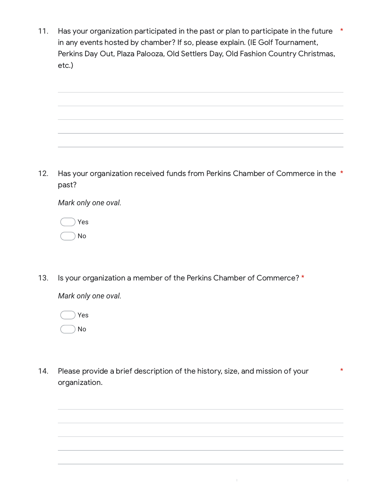11. Has your organization participated in the past or plan to participate in the future  $*$ in any events hosted by chamber? If so, please explain. (IE Golf Tournament, Perkins Day Out, Plaza Palooza, Old Settlers Day, Old Fashion Country Christmas, etc.)



12. Has vour organization received funds from Perkins Chamber of Commerce in the \* past?

*Mark only one oval.*

|  | Yes |
|--|-----|
|  | No  |

13. Is your organization a member of the Perkins Chamber of Commerce? \*

*Mark only one oval.*

Yes No

14. Please provide a brief description of the history, size, and mission of your organization. \*

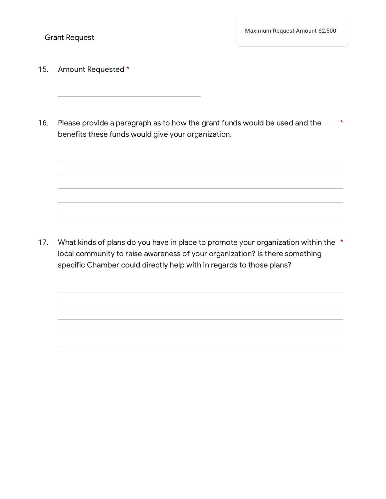- 15. Amount Requested \*
- 16. Please provide a paragraph as to how the grant funds would be used and the benefits these funds would give your organization. \*

17. What kinds of plans do you have in place to promote your organization within the  $*$ local community to raise awareness of your organization? Is there something specific Chamber could directly help with in regards to those plans?